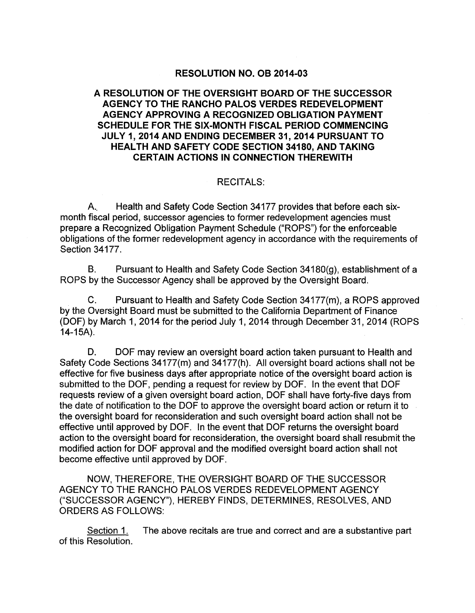#### **RESOLUTION NO. OB 2014-03**

## **A RESOLUTION OF THE OVERSIGHT BOARD OF THE SUCCESSOR AGENCY TO THE RANCHO PALOS VERDES REDEVELOPMENT AGENCY APPROVING A RECOGNIZED OBLIGATION PAYMENT SCHEDULE FOR THE SIX-MONTH FISCAL PERIOD COMMENCING JULY 1, 2014 AND ENDING DECEMBER 31, 2014 PURSUANT TO HEALTH AND SAFETY CODE SECTION 34180, AND TAKING CERTAIN ACTIONS IN CONNECTION THEREWITH**

#### RECITALS:

A.. Health and Safety Code Section 34177 provides that before each sixmonth fiscal period, successor agencies to former redevelopment agencies must prepare a Recognized Obligation Payment Schedule ("ROPS") for the enforceable obligations of the former redevelopment agency in accordance with the requirements of Section 34177.

B. Pursuant to Health and Safety Code Section  $34180(g)$ , establishment of a ROPS by the Successor Agency shall be approved by the Oversight Board.

C. Pursuant to Health and Safety Code Section 34177(m), a ROPS approved by the Oversight Board must be submitted to the California Department of Finance (DOF) by March 1, 2014 for the period July 1, 2014 through December 31, 2014 (ROPS 14-15A).

D. DOF may review an oversight board action taken pursuant to Health and Safety Code Sections 34177(m) and 34177(h). All oversight board actions shall not be effective for five business days after appropriate notice of the oversight board action is submitted to the DOF, pending a request for review by DOF. In the event that DOF requests review of a given oversight board action, DOF shall have forty-five days from the date of notification to the DOF to approve the oversight board action or return it to the oversight board for reconsideration and such oversight board action shall not be effective until approved by DOF. In the event that DOF returns the oversight board action to the oversight board for reconsideration, the oversight board shall resubmit the modified action for DOF approval and the modified oversight board action shall not become effective until approved by DOF.

NOW, THEREFORE, THE OVERSIGHT BOARD OF THE SUCCESSOR AGENCY TO THE RANCHO PALOS VERDES REDEVELOPMENT AGENCY ("SUCCESSOR AGENCY"), HEREBY FINDS, DETERMINES, RESOLVES, AND ORDERS AS FOLLOWS:

Section 1. The above recitals are true and correct and are a substantive part of this Resolution.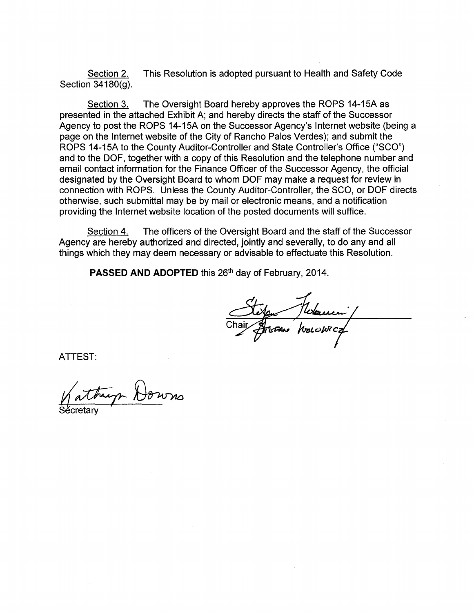Section 2. This Resolution is adopted pursuant to Health and Safety Code Section 34180(g).

Section 3. The Oversight Board hereby approves the ROPS 14-15A as presented in the attached Exhibit A; and hereby directs the staff of the Successor Agency to post the ROPS 14-15A on the Successor Agency's Internet website (being a page on the Internet website of the City of Rancho Palos Verdes); and submit the ROPS 14-15A to the County Auditor-Controller and State Controller's Office ("SCO") and to the DOF, together with a copy of this Resolution and the telephone number and email contact information for the Finance Officer of the Successor Agency, the official designated by the Oversight Board to whom DOF may make a request for review in connection with ROPS. Unless the County Auditor-Controller, the SCO, or DOF directs otherwise, such submittal may be by mail or electronic means, and a notification providing the Internet website location of the posted documents will suffice.

Section 4. The officers of the Oversight Board and the staff of the Successor Agency are hereby authorized and directed, jointly and severally, to do any and all things which they may deem necessary or advisable to effectuate this Resolution.

PASSED AND ADOPTED this 26<sup>th</sup> day of February, 2014.

ATTEST:

Sécretary Kattryn Downs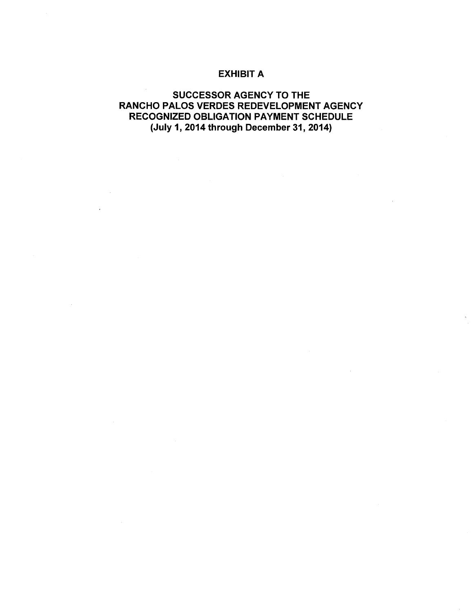### EXHIBIT A

# SUCCESSOR AGENCY TO THE RANCHO PALOS VERDES REDEVELOPMENT AGENCY RECOGNIZED OBLIGATION PAYMENT SCHEDULE (July 1, 2014 through December 31, 2014)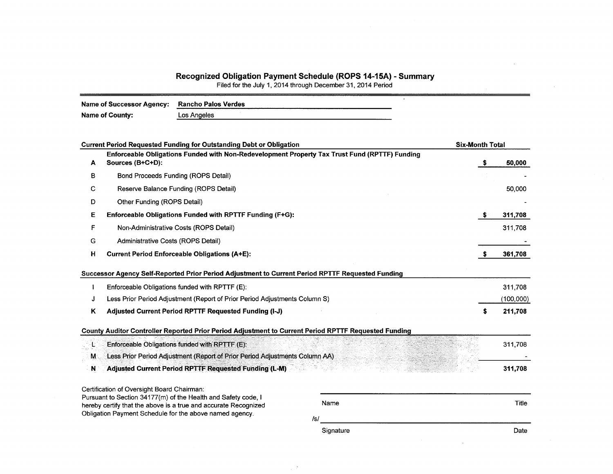#### Recognized Obligation Payment Schedule (ROPS 14-15A) - Summary

Filed for the July 1, 2014 through December 31, 2014 Period

| Name of Successor Agency: | <b>Rancho Palos Verdes</b> |  |
|---------------------------|----------------------------|--|
| Name of County:           | Los Angeles                |  |

| <b>Current Period Requested Funding for Outstanding Debt or Obligation</b> |                                                                                                                                                                                                                                                                                                       | <b>Six-Month Total</b>                                                                                                                                                                                                                                                                                                                                                                    |                                                                                               |
|----------------------------------------------------------------------------|-------------------------------------------------------------------------------------------------------------------------------------------------------------------------------------------------------------------------------------------------------------------------------------------------------|-------------------------------------------------------------------------------------------------------------------------------------------------------------------------------------------------------------------------------------------------------------------------------------------------------------------------------------------------------------------------------------------|-----------------------------------------------------------------------------------------------|
| Sources (B+C+D):                                                           |                                                                                                                                                                                                                                                                                                       | S.                                                                                                                                                                                                                                                                                                                                                                                        | 50,000                                                                                        |
| Bond Proceeds Funding (ROPS Detail)                                        |                                                                                                                                                                                                                                                                                                       |                                                                                                                                                                                                                                                                                                                                                                                           |                                                                                               |
| Reserve Balance Funding (ROPS Detail)                                      |                                                                                                                                                                                                                                                                                                       |                                                                                                                                                                                                                                                                                                                                                                                           | 50,000                                                                                        |
| Other Funding (ROPS Detail)                                                |                                                                                                                                                                                                                                                                                                       |                                                                                                                                                                                                                                                                                                                                                                                           |                                                                                               |
|                                                                            |                                                                                                                                                                                                                                                                                                       | S.                                                                                                                                                                                                                                                                                                                                                                                        | 311,708                                                                                       |
| Non-Administrative Costs (ROPS Detail)                                     |                                                                                                                                                                                                                                                                                                       |                                                                                                                                                                                                                                                                                                                                                                                           | 311,708                                                                                       |
| Administrative Costs (ROPS Detail)                                         |                                                                                                                                                                                                                                                                                                       |                                                                                                                                                                                                                                                                                                                                                                                           |                                                                                               |
| <b>Current Period Enforceable Obligations (A+E):</b>                       |                                                                                                                                                                                                                                                                                                       |                                                                                                                                                                                                                                                                                                                                                                                           | 361,708                                                                                       |
|                                                                            |                                                                                                                                                                                                                                                                                                       |                                                                                                                                                                                                                                                                                                                                                                                           |                                                                                               |
| Enforceable Obligations funded with RPTTF (E):                             |                                                                                                                                                                                                                                                                                                       |                                                                                                                                                                                                                                                                                                                                                                                           | 311,708                                                                                       |
|                                                                            |                                                                                                                                                                                                                                                                                                       |                                                                                                                                                                                                                                                                                                                                                                                           | (100,000)                                                                                     |
| Adjusted Current Period RPTTF Requested Funding (I-J)                      |                                                                                                                                                                                                                                                                                                       | s                                                                                                                                                                                                                                                                                                                                                                                         | 211,708                                                                                       |
|                                                                            |                                                                                                                                                                                                                                                                                                       |                                                                                                                                                                                                                                                                                                                                                                                           |                                                                                               |
| Enforceable Obligations funded with RPTTF (E):                             |                                                                                                                                                                                                                                                                                                       |                                                                                                                                                                                                                                                                                                                                                                                           | 311,708                                                                                       |
|                                                                            |                                                                                                                                                                                                                                                                                                       |                                                                                                                                                                                                                                                                                                                                                                                           |                                                                                               |
| <b>Adjusted Current Period RPTTF Requested Funding (L-M)</b>               |                                                                                                                                                                                                                                                                                                       |                                                                                                                                                                                                                                                                                                                                                                                           | 311,708                                                                                       |
|                                                                            |                                                                                                                                                                                                                                                                                                       |                                                                                                                                                                                                                                                                                                                                                                                           |                                                                                               |
|                                                                            | Name                                                                                                                                                                                                                                                                                                  |                                                                                                                                                                                                                                                                                                                                                                                           | Title                                                                                         |
|                                                                            |                                                                                                                                                                                                                                                                                                       |                                                                                                                                                                                                                                                                                                                                                                                           |                                                                                               |
|                                                                            |                                                                                                                                                                                                                                                                                                       |                                                                                                                                                                                                                                                                                                                                                                                           | Date                                                                                          |
|                                                                            | Enforceable Obligations Funded with RPTTF Funding (F+G):<br>Certification of Oversight Board Chairman:<br>Pursuant to Section 34177(m) of the Health and Safety code, I<br>hereby certify that the above is a true and accurate Recognized<br>Obligation Payment Schedule for the above named agency. | Successor Agency Self-Reported Prior Period Adjustment to Current Period RPTTF Requested Funding<br>Less Prior Period Adjustment (Report of Prior Period Adjustments Column S)<br>County Auditor Controller Reported Prior Period Adjustment to Current Period RPTTF Requested Funding<br>Less Prior Period Adjustment (Report of Prior Period Adjustments Column AA)<br>/s/<br>Signature | Enforceable Obligations Funded with Non-Redevelopment Property Tax Trust Fund (RPTTF) Funding |

 $\rightarrow$ 

 $\bar{\mathcal{L}}$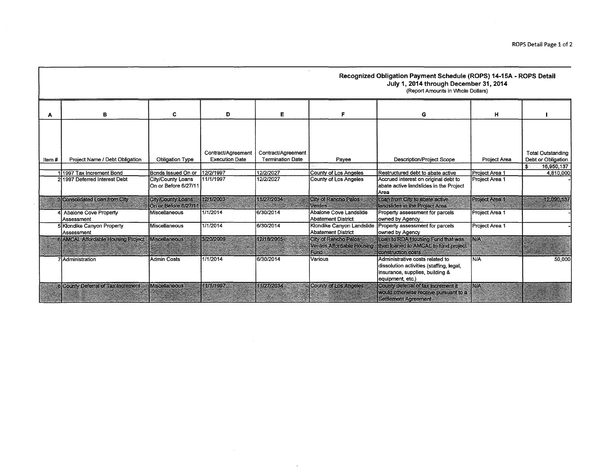|        |                                                           |                                           |                                             |                                               |                                                 | Recognized Obligation Payment Schedule (ROPS) 14-15A - ROPS Detail<br>July 1, 2014 through December 31, 2014<br>(Report Amounts in Whole Dollars) |                                  |                                                |
|--------|-----------------------------------------------------------|-------------------------------------------|---------------------------------------------|-----------------------------------------------|-------------------------------------------------|---------------------------------------------------------------------------------------------------------------------------------------------------|----------------------------------|------------------------------------------------|
|        | в                                                         | c                                         | D                                           | Е                                             | F                                               | G                                                                                                                                                 | н                                |                                                |
| Item # | Project Name / Debt Obligation                            | Obligation Type                           | Contract/Agreement<br><b>Execution Date</b> | Contract/Agreement<br><b>Termination Date</b> | Payee                                           | <b>Description/Project Scope</b>                                                                                                                  | Project Area                     | <b>Total Outstanding</b><br>Debt or Obligation |
|        |                                                           | Bonds Issued On or                        | 12/2/1997                                   | 12/2/2027                                     |                                                 | Restructured debt to abate active                                                                                                                 |                                  | $\mathbf{s}$<br>16,950,137                     |
|        | 11997 Tax Increment Bond<br>2 1997 Deferred Interest Debt | City/County Loans<br>On or Before 6/27/11 | 11/1/1997                                   | 12/2/2027                                     | County of Los Angeles<br>County of Los Angeles  | Accrued interest on original debt to<br>abate active landslides in the Project<br>Area                                                            | Project Area 1<br>Project Area 1 | 4,810,000                                      |
|        | Consolidated Loan from City                               | City/County Loans<br>On or Before 6/27/11 | 12/1/2003                                   | 11/27/2034                                    | City of Rancho Palos<br><b>Verdes</b> :         | Loan from City to abate active<br>landslides in the Project Area                                                                                  | Project Area 1                   | 12.090.137                                     |
|        | Abalone Cove Property<br>Assessment                       | Miscellaneous                             | 1/1/2014                                    | 6/30/2014                                     | Abalone Cove Landslide<br>Abatement District    | Property assessment for parcels<br>owned by Agency                                                                                                | Project Area 1                   |                                                |
|        | 5 Klondike Canyon Property<br>Assessment                  | Miscellaneous                             | 1/1/2014                                    | 6/30/2014                                     | Klondike Canyon Landslide<br>Abatement District | Property assessment for parcels<br>owned by Agency                                                                                                | Project Area 1                   |                                                |
|        | AMCAL Affordable Housing Project: Miscellaneous           |                                           | 3/20/2009                                   | 12/18/2065                                    | <b>City of Rancho Palos &amp;</b><br>Fund       | Loan & RDA Housing Fund that was<br>Verdes Affordable Housing: Ithen loaned to AMCAL to fund project<br>construction costs                        | <b>MA</b>                        |                                                |
|        | 7lAdministration                                          | Admin Costs                               | 1/1/2014                                    | 6/30/2014                                     | Various                                         | Administrative costs related to<br>dissolution activities (staffing, legal,<br>insurance, supplies, building &<br>equipment, etc.)                | N/A                              | 50,000                                         |
|        | <b>Il County Deferral of Tax Increments</b>               | <b>Miscellaneous</b>                      | 11/1/1997                                   | 1/27/2034                                     | County of Los Angeles                           | Cothiv deferrat of tax increment it<br>would otherwise receive pursuant to a<br>Settlement Agreement                                              | NW.                              |                                                |

 $\sim 10^{11}$  km s  $^{-1}$ 

 $\rightarrow$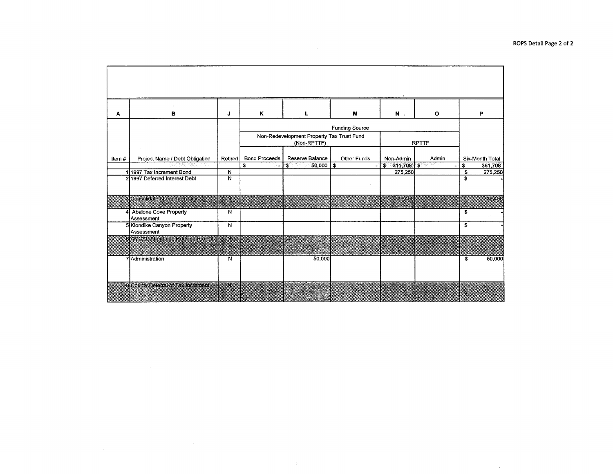| A     | в                                          | J                       | Κ                    | L                                                                                                 | M           | N.              | $\mathbf{o}$   | P               |  |
|-------|--------------------------------------------|-------------------------|----------------------|---------------------------------------------------------------------------------------------------|-------------|-----------------|----------------|-----------------|--|
|       |                                            |                         |                      | <b>Funding Source</b><br>Non-Redevelopment Property Tax Trust Fund<br>(Non-RPTTF)<br><b>RPTTF</b> |             |                 |                |                 |  |
| item# | Project Name / Debt Obligation             | Retired                 | <b>Bond Proceeds</b> | Reserve Balance                                                                                   | Other Funds | Non-Admin       | Admin          | Six-Month Total |  |
|       |                                            |                         | s<br>$\bullet$       | $50,000$   \$<br>$\bullet$                                                                        | ٠           | $$311,708$ \ \$ | $\blacksquare$ | \$<br>361,708   |  |
|       | 11997 Tax Increment Bond                   | $\overline{N}$          |                      |                                                                                                   |             | 275,250         |                | \$<br>275,250   |  |
|       | 211997 Deferred Interest Debt              | N                       |                      |                                                                                                   |             |                 |                | \$              |  |
|       | Consolidated Loan from City.               | W.                      |                      |                                                                                                   |             | 36,458          |                | 36,458          |  |
|       | <b>Abalone Cove Property</b><br>Assessment | N                       |                      |                                                                                                   |             |                 |                | \$              |  |
|       | 5 Klondike Canyon Property<br>İAssessment  | $\overline{\mathsf{N}}$ |                      |                                                                                                   |             |                 |                | \$              |  |
|       | <b>EXMONLATORIADE ROUSING PROCESS</b>      | ean c                   |                      |                                                                                                   |             |                 |                |                 |  |
|       | 7 Administration                           | N                       |                      | 50,000                                                                                            |             |                 |                | 50,000<br>\$    |  |
|       | 8 County Defenral of Tax Increment         | œм                      |                      |                                                                                                   |             |                 |                |                 |  |

 $\mathcal{L}_{\rm{max}}$ 

 $\sim$ 

 $\sim 10^{-11}$ 

 $\alpha$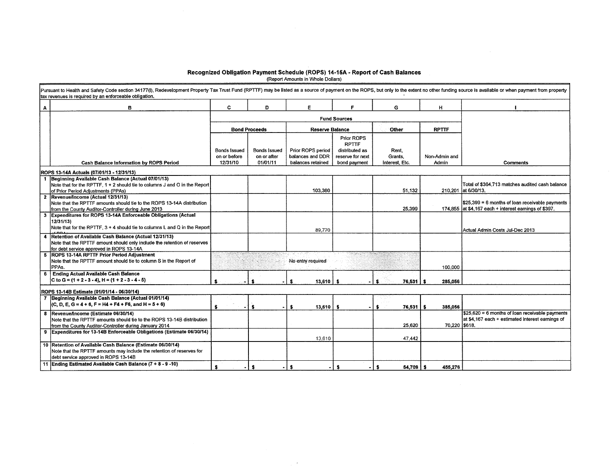# Recognized Obligation Payment Schedule (ROPS) 14-15A - Report of Cash Balances<br>Report Amounts in Whole Dollars)

| в                                                                                        | C                                                                                                                                                                                                                                                                                                                                                                                                                                                                                                                                                                                                                                                                                                                                                                                                                                                                                                 | D                   | E                                   | F.               | G                                                                                           | н                           |                                                                                                          |
|------------------------------------------------------------------------------------------|---------------------------------------------------------------------------------------------------------------------------------------------------------------------------------------------------------------------------------------------------------------------------------------------------------------------------------------------------------------------------------------------------------------------------------------------------------------------------------------------------------------------------------------------------------------------------------------------------------------------------------------------------------------------------------------------------------------------------------------------------------------------------------------------------------------------------------------------------------------------------------------------------|---------------------|-------------------------------------|------------------|---------------------------------------------------------------------------------------------|-----------------------------|----------------------------------------------------------------------------------------------------------|
|                                                                                          |                                                                                                                                                                                                                                                                                                                                                                                                                                                                                                                                                                                                                                                                                                                                                                                                                                                                                                   |                     |                                     |                  |                                                                                             |                             |                                                                                                          |
|                                                                                          |                                                                                                                                                                                                                                                                                                                                                                                                                                                                                                                                                                                                                                                                                                                                                                                                                                                                                                   |                     |                                     |                  | Other                                                                                       | <b>RPTTF</b>                |                                                                                                          |
|                                                                                          |                                                                                                                                                                                                                                                                                                                                                                                                                                                                                                                                                                                                                                                                                                                                                                                                                                                                                                   |                     |                                     | Prior ROPS       |                                                                                             |                             |                                                                                                          |
|                                                                                          | <b>Bonds Issued</b>                                                                                                                                                                                                                                                                                                                                                                                                                                                                                                                                                                                                                                                                                                                                                                                                                                                                               | <b>Bonds Issued</b> | Prior ROPS period                   | distributed as   | Rent.                                                                                       |                             |                                                                                                          |
| <b>Cash Balance Information by ROPS Period</b>                                           | 12/31/10                                                                                                                                                                                                                                                                                                                                                                                                                                                                                                                                                                                                                                                                                                                                                                                                                                                                                          | 01/01/11            | balances retained                   | bond payment     | Interest, Etc.                                                                              | Admin                       | <b>Comments</b>                                                                                          |
| ROPS 13-14A Actuals (07/01/13 - 12/31/13)                                                |                                                                                                                                                                                                                                                                                                                                                                                                                                                                                                                                                                                                                                                                                                                                                                                                                                                                                                   |                     |                                     |                  |                                                                                             |                             |                                                                                                          |
| 1  Beginning Available Cash Balance (Actual 07/01/13)                                    |                                                                                                                                                                                                                                                                                                                                                                                                                                                                                                                                                                                                                                                                                                                                                                                                                                                                                                   |                     |                                     |                  |                                                                                             |                             |                                                                                                          |
|                                                                                          |                                                                                                                                                                                                                                                                                                                                                                                                                                                                                                                                                                                                                                                                                                                                                                                                                                                                                                   |                     | 103,380                             |                  | 51,132                                                                                      |                             | Total of \$364,713 matches audited cash balance<br>210,201 at 6/30/13.                                   |
| 2 Revenue/Income (Actual 12/31/13)                                                       |                                                                                                                                                                                                                                                                                                                                                                                                                                                                                                                                                                                                                                                                                                                                                                                                                                                                                                   |                     |                                     |                  |                                                                                             |                             |                                                                                                          |
|                                                                                          |                                                                                                                                                                                                                                                                                                                                                                                                                                                                                                                                                                                                                                                                                                                                                                                                                                                                                                   |                     |                                     |                  |                                                                                             |                             | \$25,399 = 6 months of loan receivable payments<br>174,855 at \$4,167 each + interest earnings of \$397. |
|                                                                                          |                                                                                                                                                                                                                                                                                                                                                                                                                                                                                                                                                                                                                                                                                                                                                                                                                                                                                                   |                     |                                     |                  |                                                                                             |                             |                                                                                                          |
| 12/31/13)                                                                                |                                                                                                                                                                                                                                                                                                                                                                                                                                                                                                                                                                                                                                                                                                                                                                                                                                                                                                   |                     |                                     |                  |                                                                                             |                             |                                                                                                          |
| Note that for the RPTTF, $3 + 4$ should tie to columns L and Q in the Report             |                                                                                                                                                                                                                                                                                                                                                                                                                                                                                                                                                                                                                                                                                                                                                                                                                                                                                                   |                     | 89,770                              |                  |                                                                                             |                             | IActual Admin Costs Jul-Dec 2013                                                                         |
| Retention of Available Cash Balance (Actual 12/31/13)                                    |                                                                                                                                                                                                                                                                                                                                                                                                                                                                                                                                                                                                                                                                                                                                                                                                                                                                                                   |                     |                                     |                  |                                                                                             |                             |                                                                                                          |
|                                                                                          |                                                                                                                                                                                                                                                                                                                                                                                                                                                                                                                                                                                                                                                                                                                                                                                                                                                                                                   |                     |                                     |                  |                                                                                             |                             |                                                                                                          |
| 5 ROPS 13-14A RPTTF Prior Period Adjustment                                              |                                                                                                                                                                                                                                                                                                                                                                                                                                                                                                                                                                                                                                                                                                                                                                                                                                                                                                   |                     |                                     |                  |                                                                                             |                             |                                                                                                          |
| Note that the RPTTF amount should tie to column S in the Report of<br>PPA <sub>s</sub> . |                                                                                                                                                                                                                                                                                                                                                                                                                                                                                                                                                                                                                                                                                                                                                                                                                                                                                                   |                     | No entry required                   |                  |                                                                                             | 100,000                     |                                                                                                          |
| <b>Ending Actual Available Cash Balance</b>                                              |                                                                                                                                                                                                                                                                                                                                                                                                                                                                                                                                                                                                                                                                                                                                                                                                                                                                                                   |                     |                                     |                  |                                                                                             |                             |                                                                                                          |
|                                                                                          |                                                                                                                                                                                                                                                                                                                                                                                                                                                                                                                                                                                                                                                                                                                                                                                                                                                                                                   |                     |                                     | - \$             | s.                                                                                          | 285,056                     |                                                                                                          |
| ROPS 13-14B Estimate (01/01/14 - 06/30/14)                                               |                                                                                                                                                                                                                                                                                                                                                                                                                                                                                                                                                                                                                                                                                                                                                                                                                                                                                                   |                     |                                     |                  |                                                                                             |                             |                                                                                                          |
| 7 Beginning Available Cash Balance (Actual 01/01/14)                                     |                                                                                                                                                                                                                                                                                                                                                                                                                                                                                                                                                                                                                                                                                                                                                                                                                                                                                                   |                     |                                     |                  |                                                                                             |                             |                                                                                                          |
|                                                                                          | Ŝ.                                                                                                                                                                                                                                                                                                                                                                                                                                                                                                                                                                                                                                                                                                                                                                                                                                                                                                | s.                  | 13,610                              | - \$             |                                                                                             | 385,056                     |                                                                                                          |
| Revenue/Income (Estimate 06/30/14)                                                       |                                                                                                                                                                                                                                                                                                                                                                                                                                                                                                                                                                                                                                                                                                                                                                                                                                                                                                   |                     |                                     |                  |                                                                                             |                             | $$25,620 = 6$ months of loan receivable payments                                                         |
|                                                                                          |                                                                                                                                                                                                                                                                                                                                                                                                                                                                                                                                                                                                                                                                                                                                                                                                                                                                                                   |                     |                                     |                  |                                                                                             |                             | at \$4,167 each + estimated interest earnings of                                                         |
|                                                                                          |                                                                                                                                                                                                                                                                                                                                                                                                                                                                                                                                                                                                                                                                                                                                                                                                                                                                                                   |                     |                                     |                  |                                                                                             |                             |                                                                                                          |
|                                                                                          |                                                                                                                                                                                                                                                                                                                                                                                                                                                                                                                                                                                                                                                                                                                                                                                                                                                                                                   |                     | 13,610                              |                  | 47.442                                                                                      |                             |                                                                                                          |
| 10 Retention of Available Cash Balance (Estimate 06/30/14)                               |                                                                                                                                                                                                                                                                                                                                                                                                                                                                                                                                                                                                                                                                                                                                                                                                                                                                                                   |                     |                                     |                  |                                                                                             |                             |                                                                                                          |
|                                                                                          |                                                                                                                                                                                                                                                                                                                                                                                                                                                                                                                                                                                                                                                                                                                                                                                                                                                                                                   |                     |                                     |                  |                                                                                             |                             |                                                                                                          |
| 11 Ending Estimated Available Cash Balance (7 + 8 - 9 -10)                               | s.                                                                                                                                                                                                                                                                                                                                                                                                                                                                                                                                                                                                                                                                                                                                                                                                                                                                                                | \$                  | s                                   | s.               | s                                                                                           |                             |                                                                                                          |
|                                                                                          | Note that for the RPTTF, $1 + 2$ should tie to columns J and O in the Report<br>of Prior Period Adjustments (PPAs)<br>Note that the RPTTF amounts should tie to the ROPS 13-14A distribution<br>from the County Auditor-Controller during June 2013<br>3 Expenditures for ROPS 13-14A Enforceable Obligations (Actual<br>Note that the RPTTF amount should only include the retention of reserves<br>for debt service approved in ROPS 13-14A<br>C to G = $(1 + 2 - 3 - 4)$ , H = $(1 + 2 - 3 - 4 - 5)$<br>(C, D, E, G = 4 + 6, F = H4 + F4 + F6, and H = $5 + 6$ )<br>Note that the RPTTF amounts should tie to the ROPS 13-14B distribution<br>from the County Auditor-Controller during January 2014<br>9 Expenditures for 13-14B Enforceable Obligations (Estimate 06/30/14)<br>Note that the RPTTF amounts may include the retention of reserves for<br>debt service approved in ROPS 13-14B | on or before        | <b>Bond Proceeds</b><br>on or after | balances and DDR | <b>Fund Sources</b><br><b>Reserve Balance</b><br><b>RPTTF</b><br>reserve for next<br>13,610 | Grants,<br>25,399<br>25,620 | Non Admin and<br>$76,531$ $\frac{1}{5}$<br>$76,531$ \$<br>70.220 \$618.<br>$54,709$ \$<br>455,276        |

 $\rightarrow$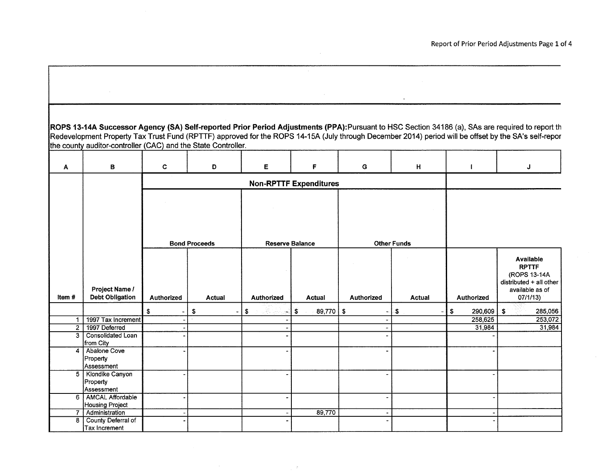|                | ROPS 13-14A Successor Agency (SA) Self-reported Prior Period Adjustments (PPA):Pursuant to HSC Section 34186 (a), SAs are required to report th      |                   |                      |                   |                               |                      |                    |                   |                              |
|----------------|------------------------------------------------------------------------------------------------------------------------------------------------------|-------------------|----------------------|-------------------|-------------------------------|----------------------|--------------------|-------------------|------------------------------|
|                | Redevelopment Property Tax Trust Fund (RPTTF) approved for the ROPS 14-15A (July through December 2014) period will be offset by the SA's self-repor |                   |                      |                   |                               |                      |                    |                   |                              |
|                | the county auditor-controller (CAC) and the State Controller.                                                                                        |                   |                      |                   |                               |                      |                    |                   |                              |
|                |                                                                                                                                                      |                   |                      |                   |                               |                      |                    |                   |                              |
| A              | в                                                                                                                                                    | C                 | D                    | E.                | F                             | G                    | H.                 | $\blacksquare$    | J                            |
|                |                                                                                                                                                      |                   |                      |                   | <b>Non-RPTTF Expenditures</b> |                      |                    |                   |                              |
|                |                                                                                                                                                      |                   |                      |                   |                               |                      |                    |                   |                              |
|                |                                                                                                                                                      |                   |                      |                   |                               |                      |                    |                   |                              |
|                |                                                                                                                                                      |                   |                      |                   |                               |                      |                    |                   |                              |
|                |                                                                                                                                                      |                   |                      |                   |                               |                      |                    |                   |                              |
|                |                                                                                                                                                      |                   |                      |                   |                               |                      |                    |                   |                              |
|                |                                                                                                                                                      |                   | <b>Bond Proceeds</b> |                   | <b>Reserve Balance</b>        |                      | <b>Other Funds</b> |                   |                              |
|                |                                                                                                                                                      |                   |                      |                   |                               |                      |                    |                   | Available                    |
|                |                                                                                                                                                      |                   |                      |                   |                               |                      |                    |                   | <b>RPTTF</b><br>(ROPS 13-14A |
|                |                                                                                                                                                      |                   |                      |                   |                               |                      |                    |                   | distributed $+$ all other    |
|                | Project Name /                                                                                                                                       |                   |                      |                   |                               |                      |                    |                   | available as of              |
| Item#          | <b>Debt Obligation</b>                                                                                                                               | <b>Authorized</b> | <b>Actual</b>        | <b>Authorized</b> | <b>Actual</b>                 | <b>Authorized</b>    | <b>Actual</b>      | <b>Authorized</b> | 07/1/13)                     |
|                |                                                                                                                                                      | \$                | \$<br>-              | S.<br>÷,          | $\mathbf{s}$<br>$89,770$ \ \$ |                      | \$.                | \$<br>290,609     | -\$<br>285,056               |
| 1              | 1997 Tax Increment                                                                                                                                   |                   |                      |                   |                               |                      |                    | 258,625           | 253,072                      |
| $\overline{2}$ | 1997 Deferred                                                                                                                                        |                   |                      |                   |                               | $\ddot{\phantom{0}}$ |                    | 31,984            | 31,984                       |
| 3              | Consolidated Loan                                                                                                                                    |                   |                      |                   |                               |                      |                    |                   |                              |
|                | from City<br>Abalone Cove                                                                                                                            |                   |                      |                   |                               | $\ddot{\phantom{0}}$ |                    |                   |                              |
| 4              | Property                                                                                                                                             |                   |                      |                   |                               |                      |                    |                   |                              |
|                | Assessment                                                                                                                                           |                   |                      |                   |                               |                      |                    |                   |                              |
|                | 5   Klondike Canyon                                                                                                                                  |                   |                      |                   |                               |                      |                    |                   |                              |
|                | Property                                                                                                                                             |                   |                      |                   |                               |                      |                    |                   |                              |
|                | Assessment                                                                                                                                           |                   |                      |                   |                               |                      |                    |                   |                              |
|                | 6   AMCAL Affordable                                                                                                                                 |                   |                      |                   |                               | $\blacksquare$       |                    |                   |                              |
|                | Housing Project                                                                                                                                      |                   |                      |                   |                               |                      |                    |                   |                              |
| 7              | Administration                                                                                                                                       |                   |                      |                   | 89,770                        | $\blacksquare$       |                    |                   |                              |
| 8              | County Deferral of                                                                                                                                   |                   |                      |                   |                               |                      |                    |                   |                              |
|                | Tax Increment                                                                                                                                        |                   |                      |                   |                               |                      |                    |                   |                              |

 $\sim 8\%$ 

 $\sim 10^{-11}$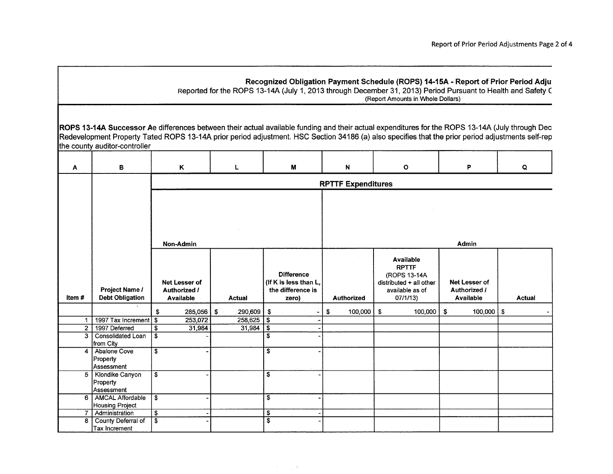|                |                                                                                                                                                                                                                                                                                                                                       |                                      |                                                   |      |         |                         | Recognized Obligation Payment Schedule (ROPS) 14-15A - Report of Prior Period Adju<br>Reported for the ROPS 13-14A (July 1, 2013 through December 31, 2013) Period Pursuant to Health and Safety C |    |                           |    | (Report Amounts in Whole Dollars)                                                                            |     |                                                          |    |               |
|----------------|---------------------------------------------------------------------------------------------------------------------------------------------------------------------------------------------------------------------------------------------------------------------------------------------------------------------------------------|--------------------------------------|---------------------------------------------------|------|---------|-------------------------|----------------------------------------------------------------------------------------------------------------------------------------------------------------------------------------------------|----|---------------------------|----|--------------------------------------------------------------------------------------------------------------|-----|----------------------------------------------------------|----|---------------|
|                | ROPS 13-14A Successor Ae differences between their actual available funding and their actual expenditures for the ROPS 13-14A (July through Dec<br>Redevelopment Property Tated ROPS 13-14A prior period adjustment. HSC Section 34186 (a) also specifies that the prior period adjustments self-rep<br>the county auditor-controller |                                      |                                                   |      |         |                         |                                                                                                                                                                                                    |    |                           |    |                                                                                                              |     |                                                          |    |               |
| A              | B                                                                                                                                                                                                                                                                                                                                     |                                      | Κ                                                 |      | L       |                         | M                                                                                                                                                                                                  |    | N                         |    | $\mathbf{o}$                                                                                                 |     | P                                                        |    | Q             |
|                |                                                                                                                                                                                                                                                                                                                                       |                                      |                                                   |      |         |                         |                                                                                                                                                                                                    |    | <b>RPTTF Expenditures</b> |    |                                                                                                              |     |                                                          |    |               |
|                |                                                                                                                                                                                                                                                                                                                                       |                                      | Non-Admin                                         |      |         |                         |                                                                                                                                                                                                    |    |                           |    |                                                                                                              |     | <b>Admin</b>                                             |    |               |
| Item#          | Project Name /<br><b>Debt Obligation</b>                                                                                                                                                                                                                                                                                              |                                      | Net Lesser of<br>Authorized /<br><b>Available</b> |      | Actual  |                         | <b>Difference</b><br>(If K is less than L.<br>the difference is<br>zero)                                                                                                                           |    | <b>Authorized</b>         |    | <b>Available</b><br><b>RPTTF</b><br>(ROPS 13-14A<br>distributed $+$ all other<br>available as of<br>07/1/13) |     | Net Lesser of<br><b>Authorized /</b><br><b>Available</b> |    | <b>Actual</b> |
|                |                                                                                                                                                                                                                                                                                                                                       | \$                                   | 285,056                                           | - \$ | 290,609 | \$                      |                                                                                                                                                                                                    | £. | 100,000                   | S. | 100,000                                                                                                      | ି\$ | 100,000                                                  | S. |               |
| 1 <sup>1</sup> | 1997 Tax Increment   \$                                                                                                                                                                                                                                                                                                               |                                      | 253,072                                           |      | 258,625 | \$                      |                                                                                                                                                                                                    |    |                           |    |                                                                                                              |     |                                                          |    |               |
| 2 <sup>1</sup> | 1997 Deferred                                                                                                                                                                                                                                                                                                                         | \$                                   | 31.984                                            |      | 31.984  | \$                      |                                                                                                                                                                                                    |    |                           |    |                                                                                                              |     |                                                          |    |               |
| 3              | Consolidated Loan<br>from City                                                                                                                                                                                                                                                                                                        | $\overline{\mathbf{s}}$              |                                                   |      |         | \$                      |                                                                                                                                                                                                    |    |                           |    |                                                                                                              |     |                                                          |    |               |
| 4              | Abalone Cove<br>Property<br>Assessment                                                                                                                                                                                                                                                                                                | $\overline{\mathbf{s}}$              |                                                   |      |         | \$                      |                                                                                                                                                                                                    |    |                           |    |                                                                                                              |     |                                                          |    |               |
| 5 <sup>1</sup> | Klondike Canyon<br>Property<br>Assessment                                                                                                                                                                                                                                                                                             | \$                                   |                                                   |      |         | $\overline{\mathbf{s}}$ |                                                                                                                                                                                                    |    |                           |    |                                                                                                              |     |                                                          |    |               |
|                | 6   AMCAL Affordable<br><b>Housing Project</b>                                                                                                                                                                                                                                                                                        | $\overline{\$}$                      |                                                   |      |         | $\overline{\mathbf{s}}$ |                                                                                                                                                                                                    |    |                           |    |                                                                                                              |     |                                                          |    |               |
| 7 <sup>7</sup> | Administration                                                                                                                                                                                                                                                                                                                        | $\overline{\boldsymbol{\mathsf{s}}}$ |                                                   |      |         | \$                      |                                                                                                                                                                                                    |    |                           |    |                                                                                                              |     |                                                          |    |               |
| 8.             | County Deferral of<br>Tax Increment                                                                                                                                                                                                                                                                                                   | \$                                   |                                                   |      |         | $\overline{\mathbf{s}}$ |                                                                                                                                                                                                    |    |                           |    |                                                                                                              |     |                                                          |    |               |

 $\label{eq:2.1} \mathcal{L}^{\text{max}}_{\text{max}}\left(\mathcal{L}^{\text{max}}_{\text{max}}\right) = \frac{1}{2\pi\epsilon}\mathcal{L}^{\text{max}}_{\text{max}}$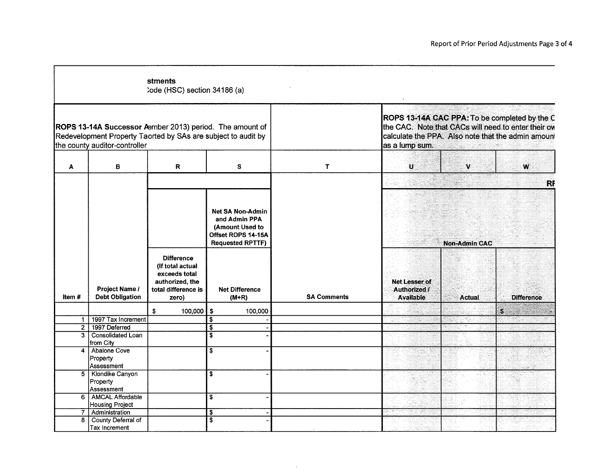|                |                                                   | stments<br>:ode (HSC) section 34186 (a)                |                                                                                                                           |                    |                                  |                      |                                                                                                                                                            |
|----------------|---------------------------------------------------|--------------------------------------------------------|---------------------------------------------------------------------------------------------------------------------------|--------------------|----------------------------------|----------------------|------------------------------------------------------------------------------------------------------------------------------------------------------------|
|                | the county auditor-controller                     |                                                        | ROPS 13-14A Successor Aember 2013) period. The amount of<br>Redevelopment Property Taorted by SAs are subject to audit by |                    | as a lump sum.                   |                      | ROPS 13-14A CAC PPA: To be completed by the C<br>the CAC. Note that CACs will need to enter their ow<br>calculate the PPA. Also note that the admin amount |
| A              | в                                                 | R                                                      | S                                                                                                                         | T                  | $\mathbf{u}$                     | $\mathbf v$          | W                                                                                                                                                          |
|                |                                                   |                                                        |                                                                                                                           |                    |                                  |                      | <b>RF</b>                                                                                                                                                  |
|                |                                                   | <b>Difference</b><br>(If total actual<br>exceeds total | <b>Net SA Non-Admin</b><br>and Admin PPA<br>(Amount Used to<br>Offset ROPS 14-15A<br><b>Requested RPTTF)</b>              |                    | Net Lesser of                    | <b>Non-Admin CAC</b> |                                                                                                                                                            |
| Item #         | Project Name /<br><b>Debt Obligation</b>          | authorized, the<br>total difference is<br>zero)        | <b>Net Difference</b><br>$(M+R)$                                                                                          | <b>SA Comments</b> | Authorized /<br><b>Available</b> | <b>Actual</b>        | <b>Difference</b>                                                                                                                                          |
|                |                                                   | \$<br>100,000 $\frac{1}{2}$                            | 100,000                                                                                                                   |                    |                                  |                      | S                                                                                                                                                          |
| $\mathbf{1}$   | 1997 Tax Increment                                |                                                        | $\overline{\mathbb{S}}$                                                                                                   |                    |                                  |                      |                                                                                                                                                            |
| 2 <sup>1</sup> | 1997 Deferred                                     |                                                        | \$                                                                                                                        |                    |                                  |                      |                                                                                                                                                            |
| 3              | Consolidated Loan<br>from City                    |                                                        | S                                                                                                                         |                    |                                  |                      |                                                                                                                                                            |
| 4              | Abalone Cove<br>Property<br>Assessment            |                                                        | $\overline{\mathbf{s}}$                                                                                                   |                    |                                  |                      |                                                                                                                                                            |
| $5^{\circ}$    | Klondike Canyon<br>Property<br>Assessment         |                                                        | $\overline{\mathbf{s}}$                                                                                                   |                    |                                  |                      |                                                                                                                                                            |
| 6              | <b>AMCAL Affordable</b><br><b>Housing Project</b> |                                                        | \$                                                                                                                        |                    |                                  |                      |                                                                                                                                                            |
| $\overline{7}$ | Administration                                    |                                                        | \$                                                                                                                        |                    |                                  |                      |                                                                                                                                                            |
| 8              | County Deferral of<br>Tax Increment               |                                                        | $\overline{\mathbf{s}}$                                                                                                   |                    |                                  |                      |                                                                                                                                                            |

 $\gamma$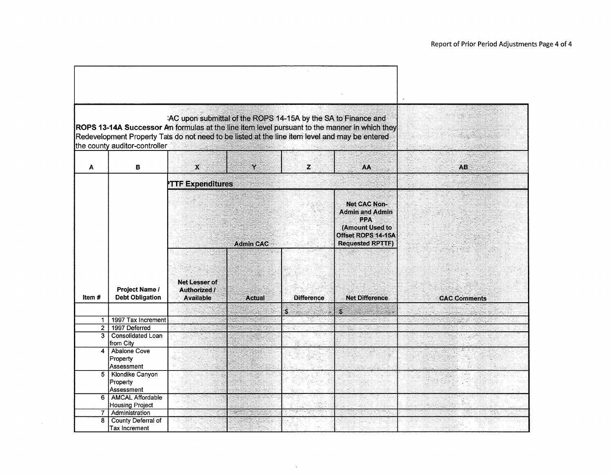|                | the county auditor-controller                           | AC upon submittal of the ROPS 14-15A by the SA to Finance and<br>Redevelopment Property Tals do not need to be listed at the line item level and may be entered |                  |                   | ROPS 13-14A Successor An formulas at the line item level pursuant to the manner in which they                            |                     |
|----------------|---------------------------------------------------------|-----------------------------------------------------------------------------------------------------------------------------------------------------------------|------------------|-------------------|--------------------------------------------------------------------------------------------------------------------------|---------------------|
| A              | в                                                       | $\boldsymbol{\chi}$                                                                                                                                             | $\mathbf{Y}$     | z                 | AA                                                                                                                       | AB.                 |
|                |                                                         | <b>PTTF Expenditures</b>                                                                                                                                        |                  |                   |                                                                                                                          |                     |
|                |                                                         |                                                                                                                                                                 | <b>Admin CAC</b> |                   | <b>Net CAC Non-</b><br><b>Admin and Admin</b><br>PPA<br>(Amount Used to<br>Offset ROPS 14-15A<br><b>Requested RPTTF)</b> |                     |
| Item #         | Project Name /<br><b>Debt Obligation</b>                | Net Lesser of<br>Authorized /<br><b>Available</b>                                                                                                               | <b>Actual</b>    | <b>Difference</b> | <b>Net Difference</b>                                                                                                    | <b>CAC Comments</b> |
|                |                                                         |                                                                                                                                                                 |                  | S                 | P                                                                                                                        |                     |
| 1              | 1997 Tax Increment                                      |                                                                                                                                                                 |                  |                   |                                                                                                                          |                     |
| $\overline{2}$ | 1997 Deferred                                           |                                                                                                                                                                 |                  |                   |                                                                                                                          |                     |
|                | 3   Consolidated Loan<br>from City                      |                                                                                                                                                                 |                  |                   |                                                                                                                          |                     |
| 4              | <b>Abalone Cove</b><br>Property                         |                                                                                                                                                                 |                  |                   |                                                                                                                          |                     |
| 5              | Assessment<br>Klondike Canyon<br>Property<br>Assessment |                                                                                                                                                                 |                  |                   |                                                                                                                          |                     |
| 6              | AMCAL Affordable<br><b>Housing Project</b>              |                                                                                                                                                                 |                  |                   |                                                                                                                          |                     |
| 7              | Administration                                          |                                                                                                                                                                 |                  |                   |                                                                                                                          |                     |
|                | 8 County Deferral of<br><b>Tax Increment</b>            |                                                                                                                                                                 |                  |                   |                                                                                                                          |                     |

 $\mathbb{R}^{2}$ 

 $\sim$